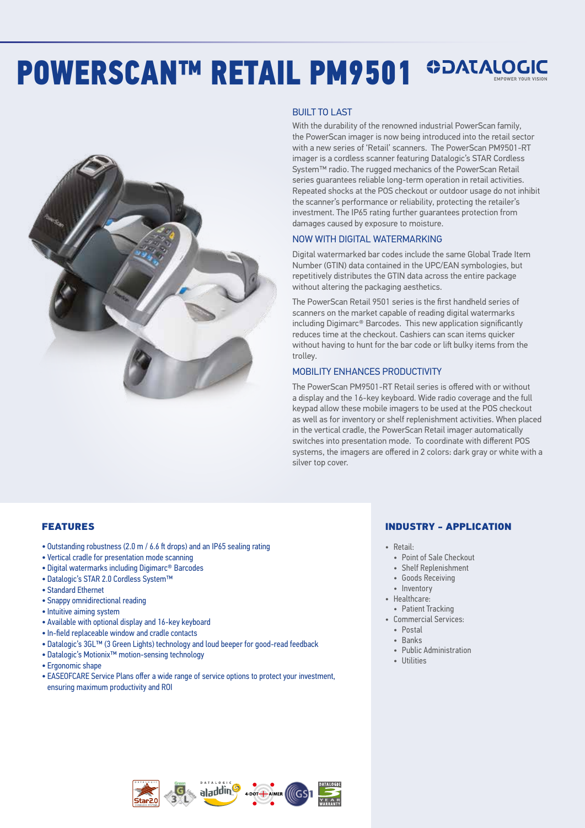# POWERSCANTM RETAIL PM9501 SDATALOGIC



#### BUILT TO LAST

With the durability of the renowned industrial PowerScan family, the PowerScan imager is now being introduced into the retail sector with a new series of 'Retail' scanners. The PowerScan PM9501-RT imager is a cordless scanner featuring Datalogic's STAR Cordless System™ radio. The rugged mechanics of the PowerScan Retail series guarantees reliable long-term operation in retail activities. Repeated shocks at the POS checkout or outdoor usage do not inhibit the scanner's performance or reliability, protecting the retailer's investment. The IP65 rating further guarantees protection from damages caused by exposure to moisture.

#### NOW WITH DIGITAL WATERMARKING

Digital watermarked bar codes include the same Global Trade Item Number (GTIN) data contained in the UPC/EAN symbologies, but repetitively distributes the GTIN data across the entire package without altering the packaging aesthetics.

The PowerScan Retail 9501 series is the first handheld series of scanners on the market capable of reading digital watermarks including Digimarc® Barcodes. This new application significantly reduces time at the checkout. Cashiers can scan items quicker without having to hunt for the bar code or lift bulky items from the trolley.

#### MOBILITY ENHANCES PRODUCTIVITY

The PowerScan PM9501-RT Retail series is offered with or without a display and the 16-key keyboard. Wide radio coverage and the full keypad allow these mobile imagers to be used at the POS checkout as well as for inventory or shelf replenishment activities. When placed in the vertical cradle, the PowerScan Retail imager automatically switches into presentation mode. To coordinate with different POS systems, the imagers are offered in 2 colors: dark gray or white with a silver top cover.

#### FEATURES

- Outstanding robustness (2.0 m / 6.6 ft drops) and an IP65 sealing rating
- Vertical cradle for presentation mode scanning
- Digital watermarks including Digimarc® Barcodes
- Datalogic's STAR 2.0 Cordless System™
- Standard Ethernet
- Snappy omnidirectional reading
- Intuitive aiming system
- Available with optional display and 16-key keyboard
- In-field replaceable window and cradle contacts
- Datalogic's 3GL™ (3 Green Lights) technology and loud beeper for good-read feedback
- Datalogic's Motionix™ motion-sensing technology
- Ergonomic shape
- EASEOFCARE Service Plans offer a wide range of service options to protect your investment, ensuring maximum productivity and ROI

#### INDUSTRY - APPLICATION

- Retail:
	- Point of Sale Checkout
	- Shelf Replenishment
	- Goods Receiving
	- Inventory
- Healthcare:
- Patient Tracking • Commercial Services:
- Postal
- Banks
- Public Administration
- Utilities